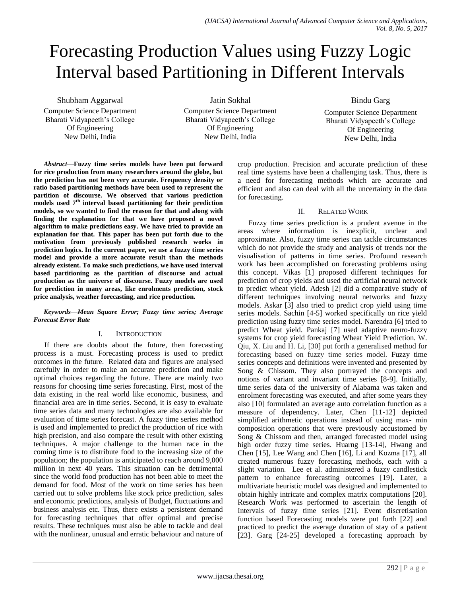## Forecasting Production Values using Fuzzy Logic Interval based Partitioning in Different Intervals

Shubham Aggarwal Computer Science Department Bharati Vidyapeeth's College Of Engineering New Delhi, India

Jatin Sokhal Computer Science Department Bharati Vidyapeeth's College Of Engineering

New Delhi, India

Bindu Garg

Computer Science Department Bharati Vidyapeeth's College Of Engineering New Delhi, India

*Abstract*—**Fuzzy time series models have been put forward for rice production from many researchers around the globe, but the prediction has not been very accurate. Frequency density or ratio based partitioning methods have been used to represent the partition of discourse. We observed that various prediction models used 7th interval based partitioning for their prediction models, so we wanted to find the reason for that and along with finding the explanation for that we have proposed a novel algorithm to make predictions easy. We have tried to provide an explanation for that. This paper has been put forth due to the motivation from previously published research works in prediction logics. In the current paper, we use a fuzzy time series model and provide a more accurate result than the methods already existent. To make such predictions, we have used interval based partitioning as the partition of discourse and actual production as the universe of discourse. Fuzzy models are used for prediction in many areas, like enrolments prediction, stock price analysis, weather forecasting, and rice production.**

*Keywords*—*Mean Square Error; Fuzzy time series; Average Forecast Error Rate*

#### I. INTRODUCTION

If there are doubts about the future, then forecasting process is a must. Forecasting process is used to predict outcomes in the future. Related data and figures are analysed carefully in order to make an accurate prediction and make optimal choices regarding the future. There are mainly two reasons for choosing time series forecasting. First, most of the data existing in the real world like economic, business, and financial area are in time series. Second, it is easy to evaluate time series data and many technologies are also available for evaluation of time series forecast. A fuzzy time series method is used and implemented to predict the production of rice with high precision, and also compare the result with other existing techniques. A major challenge to the human race in the coming time is to distribute food to the increasing size of the population; the population is anticipated to reach around 9,000 million in next 40 years. This situation can be detrimental since the world food production has not been able to meet the demand for food. Most of the work on time series has been carried out to solve problems like stock price prediction, sales and economic predictions, analysis of Budget, fluctuations and business analysis etc. Thus, there exists a persistent demand for forecasting techniques that offer optimal and precise results. These techniques must also be able to tackle and deal with the nonlinear, unusual and erratic behaviour and nature of crop production. Precision and accurate prediction of these real time systems have been a challenging task. Thus, there is a need for forecasting methods which are accurate and efficient and also can deal with all the uncertainty in the data for forecasting.

#### II. RELATED WORK

Fuzzy time series prediction is a prudent avenue in the areas where information is inexplicit, unclear and approximate. Also, fuzzy time series can tackle circumstances which do not provide the study and analysis of trends nor the visualisation of patterns in time series. Profound research work has been accomplished on forecasting problems using this concept. Vikas [1] proposed different techniques for prediction of crop yields and used the artificial neural network to predict wheat yield. Adesh [2] did a comparative study of different techniques involving neural networks and fuzzy models. Askar [3] also tried to predict crop yield using time series models. Sachin [4-5] worked specifically on rice yield prediction using fuzzy time series model. Narendra [6] tried to predict Wheat yield. Pankaj [7] used adaptive neuro-fuzzy systems for crop yield forecasting Wheat Yield Prediction. W. Qiu, X. Liu and H. Li, [30] put forth a generalised method for forecasting based on fuzzy time series model. Fuzzy time series concepts and definitions were invented and presented by Song & Chissom. They also portrayed the concepts and notions of variant and invariant time series [8-9]. Initially, time series data of the university of Alabama was taken and enrolment forecasting was executed, and after some years they also [10] formulated an average auto correlation function as a measure of dependency. Later, Chen [11-12] depicted simplified arithmetic operations instead of using max- min composition operations that were previously accustomed by Song & Chissom and then, arranged forecasted model using high order fuzzy time series. Huarng [13-14], Hwang and Chen [15], Lee Wang and Chen [16], Li and Kozma [17], all created numerous fuzzy forecasting methods, each with a slight variation. Lee et al. administered a fuzzy candlestick pattern to enhance forecasting outcomes [19]. Later, a multivariate heuristic model was designed and implemented to obtain highly intricate and complex matrix computations [20]. Research Work was performed to ascertain the length of Intervals of fuzzy time series [21]. Event discretisation function based Forecasting models were put forth [22] and practiced to predict the average duration of stay of a patient [23]. Garg [24-25] developed a forecasting approach by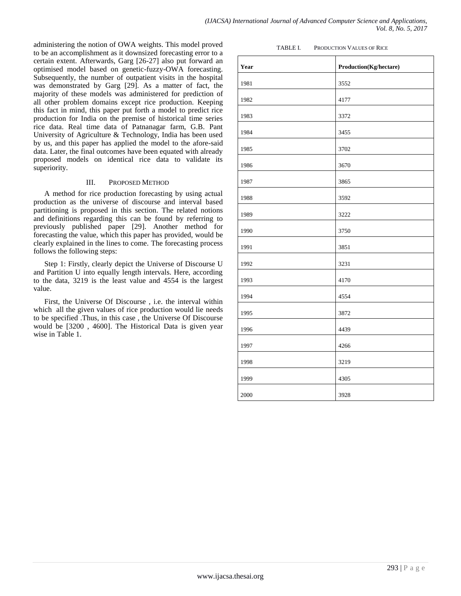administering the notion of OWA weights. This model proved to be an accomplishment as it downsized forecasting error to a certain extent. Afterwards, Garg [26-27] also put forward an optimised model based on genetic-fuzzy-OWA forecasting. Subsequently, the number of outpatient visits in the hospital was demonstrated by Garg [29]. As a matter of fact, the majority of these models was administered for prediction of all other problem domains except rice production. Keeping this fact in mind, this paper put forth a model to predict rice production for India on the premise of historical time series rice data. Real time data of Patnanagar farm, G.B. Pant University of Agriculture & Technology, India has been used by us, and this paper has applied the model to the afore-said data. Later, the final outcomes have been equated with already proposed models on identical rice data to validate its superiority.

#### III. PROPOSED METHOD

A method for rice production forecasting by using actual production as the universe of discourse and interval based partitioning is proposed in this section. The related notions and definitions regarding this can be found by referring to previously published paper [29]. Another method for forecasting the value, which this paper has provided, would be clearly explained in the lines to come. The forecasting process follows the following steps:

Step 1: Firstly, clearly depict the Universe of Discourse U and Partition U into equally length intervals. Here, according to the data, 3219 is the least value and 4554 is the largest value.

First, the Universe Of Discourse , i.e. the interval within which all the given values of rice production would lie needs to be specified .Thus, in this case , the Universe Of Discourse would be [3200 , 4600]. The Historical Data is given year wise in Table 1.

| TABLE L | PRODUCTION VALUES OF RICE |  |
|---------|---------------------------|--|
|         |                           |  |

| Year | $\bf Production(Kg/hectare)$ |
|------|------------------------------|
| 1981 | 3552                         |
| 1982 | 4177                         |
| 1983 | 3372                         |
| 1984 | 3455                         |
| 1985 | 3702                         |
| 1986 | 3670                         |
| 1987 | 3865                         |
| 1988 | 3592                         |
| 1989 | 3222                         |
| 1990 | 3750                         |
| 1991 | 3851                         |
| 1992 | 3231                         |
| 1993 | 4170                         |
| 1994 | 4554                         |
| 1995 | 3872                         |
| 1996 | 4439                         |
| 1997 | 4266                         |
| 1998 | 3219                         |
| 1999 | 4305                         |
| 2000 | 3928                         |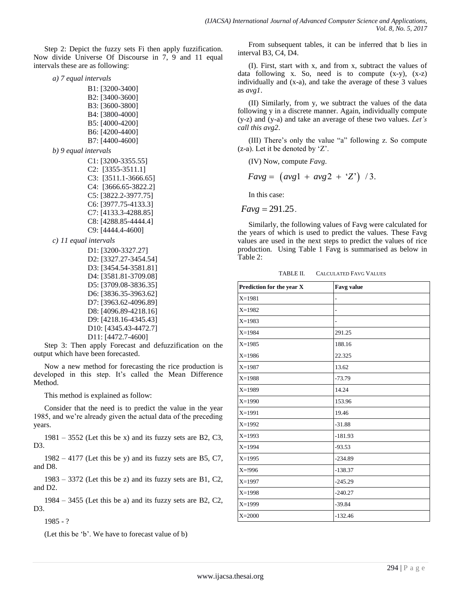Step 2: Depict the fuzzy sets Fi then apply fuzzification. Now divide Universe Of Discourse in 7, 9 and 11 equal intervals these are as following:

*a) 7 equal intervals*

*b*) 9 equal

| B1: [3200-3400]      |
|----------------------|
| B2: [3400-3600]      |
| B3: [3600-3800]      |
| B4: [3800-4000]      |
| B5: [4000-4200]      |
| B6: [4200-4400]      |
| B7: [4400-4600]      |
| intervals            |
| $C1: [3200-3355.55]$ |
| $C2: [3355-3511.1]$  |

C3: [3511.1-3666.65] C4: [3666.65-3822.2] C5: [3822.2-3977.75] C6: [3977.75-4133.3] C7: [4133.3-4288.85] C8: [4288.85-4444.4] C9: [4444.4-4600]

*c) 11 equal intervals*

| D1: [3200-3327.27]    |
|-----------------------|
| D2: [3327.27-3454.54] |
| D3: [3454.54-3581.81] |
| D4: [3581.81-3709.08] |
| D5: [3709.08-3836.35] |
| D6: [3836.35-3963.62] |
| D7: [3963.62-4096.89] |
| D8: [4096.89-4218.16] |
| D9: [4218.16-4345.43] |
| D10: [4345.43-4472.7] |
| D11: [4472.7-4600]    |

Step 3: Then apply Forecast and defuzzification on the output which have been forecasted.

Now a new method for forecasting the rice production is developed in this step. It's called the Mean Difference Method.

This method is explained as follow:

Consider that the need is to predict the value in the year 1985, and we're already given the actual data of the preceding years.

 $1981 - 3552$  (Let this be x) and its fuzzy sets are B2, C3, D3.

 $1982 - 4177$  (Let this be y) and its fuzzy sets are B5, C7, and D8.

 $1983 - 3372$  (Let this be z) and its fuzzy sets are B1, C2, and D2.

1984 – 3455 (Let this be a) and its fuzzy sets are B2, C2, D3.

1985 - ?

(Let this be 'b'. We have to forecast value of b)

From subsequent tables, it can be inferred that b lies in interval B3, C4, D4.

(I). First, start with x, and from x, subtract the values of data following x. So, need is to compute (x-y), (x-z) individually and (x-a), and take the average of these 3 values as *avg1*.

(II) Similarly, from y, we subtract the values of the data following y in a discrete manner. Again, individually compute (y-z) and (y-a) and take an average of these two values. *Let's call this avg2*.

(III) There's only the value "a" following  $z$ . So compute  $(z-a)$ . Let it be denoted by 'Z'.

(IV) Now, compute *Favg*.

 $Favg = (avg1 + avg2 + 'Z')$  /3.

In this case:

 $Favg = 291.25$ .

Similarly, the following values of Favg were calculated for the years of which is used to predict the values. These Favg values are used in the next steps to predict the values of rice production. Using Table 1 Favg is summarised as below in Table 2:

TABLE II. CALCULATED FAVG VALUES

| Prediction for the year X | <b>Favg value</b> |
|---------------------------|-------------------|
| $X = 1981$                |                   |
| $X=1982$                  | $\overline{a}$    |
| $X = 1983$                | ۰                 |
| $X=1984$                  | 291.25            |
| $X = 1985$                | 188.16            |
| $X=1986$                  | 22.325            |
| $X = 1987$                | 13.62             |
| $X = 1988$                | $-73.79$          |
| $X=1989$                  | 14.24             |
| $X=1990$                  | 153.96            |
| $X = 1991$                | 19.46             |
| $X=1992$                  | $-31.88$          |
| $X=1993$                  | $-181.93$         |
| $X = 1994$                | $-93.53$          |
| $X=1995$                  | $-234.89$         |
| $X = 1996$                | $-138.37$         |
| $X=1997$                  | $-245.29$         |
| $X=1998$                  | $-240.27$         |
| X=1999                    | $-39.84$          |
| $X = 2000$                | $-132.46$         |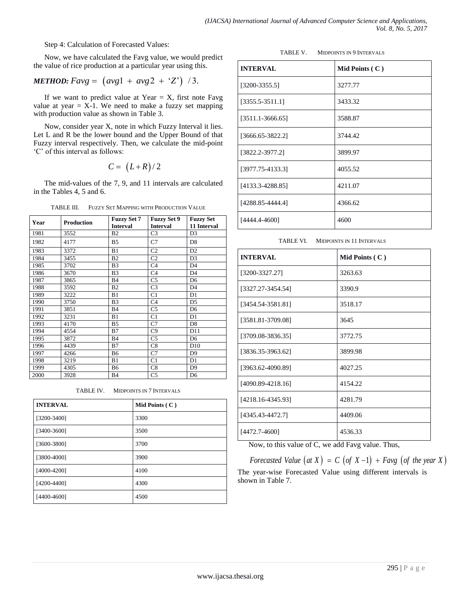Step 4: Calculation of Forecasted Values:

Now, we have calculated the Favg value, we would predict the value of rice production at a particular year using this.

# *METHOD:*  $Favg = (avg1 + avg2 + 'Z')$  / 3.

If we want to predict value at Year  $= X$ , first note Favg value at year  $=$  X-1. We need to make a fuzzy set mapping with production value as shown in Table 3.

Now, consider year X, note in which Fuzzy Interval it lies. Let L and R be the lower bound and the Upper Bound of that Fuzzy interval respectively. Then, we calculate the mid-point ‗C' of this interval as follows:  $C = (L+R)/2$ 

$$
C = (L+R)/2
$$

The mid-values of the 7, 9, and 11 intervals are calculated in the Tables 4, 5 and 6.

TABLE III. FUZZY SET MAPPING WITH PRODUCTION VALUE

| Year | <b>Production</b> | <b>Fuzzy Set 7</b> | <b>Fuzzy Set 9</b> | <b>Fuzzy Set</b> |
|------|-------------------|--------------------|--------------------|------------------|
|      |                   | <b>Interval</b>    | <b>Interval</b>    | 11 Interval      |
| 1981 | 3552              | <b>B2</b>          | C <sub>3</sub>     | D <sub>3</sub>   |
| 1982 | 4177              | B5                 | C7                 | D <sub>8</sub>   |
| 1983 | 3372              | B1                 | C <sub>2</sub>     | D <sub>2</sub>   |
| 1984 | 3455              | B <sub>2</sub>     | C <sub>2</sub>     | D <sub>3</sub>   |
| 1985 | 3702              | B <sub>3</sub>     | C4                 | D <sub>4</sub>   |
| 1986 | 3670              | B <sub>3</sub>     | C <sub>4</sub>     | D <sub>4</sub>   |
| 1987 | 3865              | <b>B4</b>          | C5                 | D <sub>6</sub>   |
| 1988 | 3592              | B <sub>2</sub>     | C <sub>3</sub>     | D <sub>4</sub>   |
| 1989 | 3222              | B1                 | C <sub>1</sub>     | D1               |
| 1990 | 3750              | B <sub>3</sub>     | C <sub>4</sub>     | D <sub>5</sub>   |
| 1991 | 3851              | <b>B4</b>          | C <sub>5</sub>     | D <sub>6</sub>   |
| 1992 | 3231              | B1                 | C <sub>1</sub>     | D1               |
| 1993 | 4170              | B <sub>5</sub>     | C7                 | D <sub>8</sub>   |
| 1994 | 4554              | B7                 | C9                 | D11              |
| 1995 | 3872              | <b>B4</b>          | C5                 | D <sub>6</sub>   |
| 1996 | 4439              | B7                 | C8                 | D10              |
| 1997 | 4266              | <b>B6</b>          | C7                 | D <sub>9</sub>   |
| 1998 | 3219              | B1                 | C <sub>1</sub>     | D1               |
| 1999 | 4305              | <b>B6</b>          | C8                 | D <sub>9</sub>   |
| 2000 | 3928              | <b>B4</b>          | C <sub>5</sub>     | D <sub>6</sub>   |

TABLE IV. MIDPOINTS IN 7 INTERVALS

| <b>INTERVAL</b> | Mid Points $(C)$ |
|-----------------|------------------|
| $[3200 - 3400]$ | 3300             |
| $[3400 - 3600]$ | 3500             |
| [3600-3800]     | 3700             |
| $[3800 - 4000]$ | 3900             |
| $[4000-4200]$   | 4100             |
| $[4200 - 4400]$ | 4300             |
| $[4400 - 4600]$ | 4500             |

TABLE V. MIDPOINTS IN 9 INTERVALS

| <b>INTERVAL</b>      | Mid Points $(C)$ |
|----------------------|------------------|
| $[3200 - 3355.5]$    | 3277.77          |
| $[3355.5-3511.1]$    | 3433.32          |
| $[3511.1 - 3666.65]$ | 3588.87          |
| $[3666.65 - 3822.2]$ | 3744.42          |
| $[3822.2 - 3977.2]$  | 3899.97          |
| $[3977.75-4133.3]$   | 4055.52          |
| $[4133.3 - 4288.85]$ | 4211.07          |
| [4288.85-4444.4]     | 4366.62          |
| [4444.4-4600]        | 4600             |

TABLE VI. MIDPOINTS IN 11 INTERVALS

| <b>INTERVAL</b>    | Mid Points $(C)$ |
|--------------------|------------------|
| $[3200 - 3327.27]$ | 3263.63          |
| [3327.27-3454.54]  | 3390.9           |
| [3454.54-3581.81]  | 3518.17          |
| [3581.81-3709.08]  | 3645             |
| [3709.08-3836.35]  | 3772.75          |
| [3836.35-3963.62]  | 3899.98          |
| [3963.62-4090.89]  | 4027.25          |
| [4090.89-4218.16]  | 4154.22          |
| [4218.16-4345.93]  | 4281.79          |
| [4345.43-4472.7]   | 4409.06          |
| [4472.7-4600]      | 4536.33          |

Now, to this value of C, we add Favg value. Thus,

*Forecasted Value*  $(at X) = C (of X - 1) + Favg (of the year X)$ The year-wise Forecasted Value using different intervals is shown in Table 7.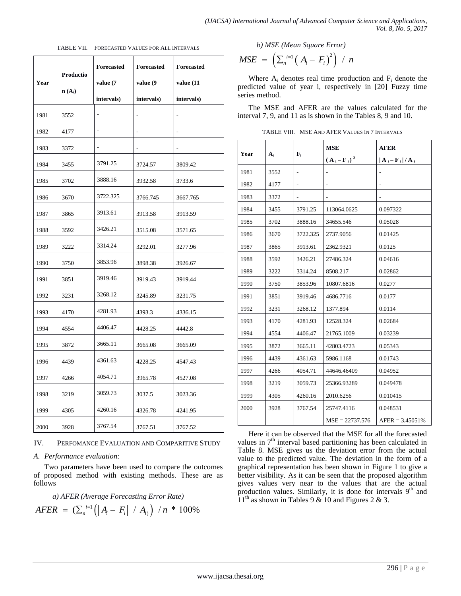| (IJACSA) International Journal of Advanced Computer Science and Applications, |  |                     |  |
|-------------------------------------------------------------------------------|--|---------------------|--|
|                                                                               |  | Vol. 8, No. 5, 2017 |  |

| Year | Productio<br>$\mathbf{n}(\mathbf{A_i})$ | <b>Forecasted</b><br>value (7<br>intervals) | <b>Forecasted</b><br>value (9<br>intervals) | <b>Forecasted</b><br>value (11<br>intervals) |
|------|-----------------------------------------|---------------------------------------------|---------------------------------------------|----------------------------------------------|
| 1981 | 3552                                    |                                             |                                             |                                              |
| 1982 | 4177                                    |                                             |                                             |                                              |
| 1983 | 3372                                    |                                             |                                             |                                              |
| 1984 | 3455                                    | 3791.25                                     | 3724.57                                     | 3809.42                                      |
| 1985 | 3702                                    | 3888.16                                     | 3932.58                                     | 3733.6                                       |
| 1986 | 3670                                    | 3722.325                                    | 3766.745                                    | 3667.765                                     |
| 1987 | 3865                                    | 3913.61                                     | 3913.58                                     | 3913.59                                      |
| 1988 | 3592                                    | 3426.21                                     | 3515.08                                     | 3571.65                                      |
| 1989 | 3222                                    | 3314.24                                     | 3292.01                                     | 3277.96                                      |
| 1990 | 3750                                    | 3853.96                                     | 3898.38                                     | 3926.67                                      |
| 1991 | 3851                                    | 3919.46                                     | 3919.43                                     | 3919.44                                      |
| 1992 | 3231                                    | 3268.12                                     | 3245.89                                     | 3231.75                                      |
| 1993 | 4170                                    | 4281.93                                     | 4393.3                                      | 4336.15                                      |
| 1994 | 4554                                    | 4406.47                                     | 4428.25                                     | 4442.8                                       |
| 1995 | 3872                                    | 3665.11                                     | 3665.08                                     | 3665.09                                      |
| 1996 | 4439                                    | 4361.63                                     | 4228.25                                     | 4547.43                                      |
| 1997 | 4266                                    | 4054.71                                     | 3965.78                                     | 4527.08                                      |
| 1998 | 3219                                    | 3059.73                                     | 3037.5                                      | 3023.36                                      |
| 1999 | 4305                                    | 4260.16                                     | 4326.78                                     | 4241.95                                      |
| 2000 | 3928                                    | 3767.54                                     | 3767.51                                     | 3767.52                                      |

|  | TABLE VII. FORECASTED VALUES FOR ALL INTERVALS |
|--|------------------------------------------------|
|  |                                                |

#### IV. PERFOMANCE EVALUATION AND COMPARITIVE STUDY

#### *A. Performance evaluation:*

Two parameters have been used to compare the outcomes of proposed method with existing methods. These are as follows

a) *AFER* (Average Forecasting Error Rate)  
*AFER* = 
$$
(\sum_{n}^{i=1} (|A_i - F_i| / A_i) / n * 100\%
$$

b) MSE (Mean Square Error)  
MSE = 
$$
\left(\sum_{n}^{i=1} (A_i - F_i)^2\right) / n
$$

Where  $A_i$  denotes real time production and  $F_i$  denote the predicted value of year i, respectively in [20] Fuzzy time series method.

The MSE and AFER are the values calculated for the interval 7, 9, and 11 as is shown in the Tables 8, 9 and 10.

TABLE VIII. MSE AND AFER VALUES IN 7 INTERVALS

| Year | $A_i$ | ${\bf F_i}$              | <b>MSE</b>        | <b>AFER</b>                                    |
|------|-------|--------------------------|-------------------|------------------------------------------------|
|      |       |                          | $(A_i - F_i)^2$   | $ \mathbf{A}_i - \mathbf{F}_i  / \mathbf{A}_i$ |
| 1981 | 3552  | $\overline{\phantom{0}}$ |                   |                                                |
| 1982 | 4177  |                          |                   |                                                |
| 1983 | 3372  |                          |                   |                                                |
| 1984 | 3455  | 3791.25                  | 113064.0625       | 0.097322                                       |
| 1985 | 3702  | 3888.16                  | 34655.546         | 0.05028                                        |
| 1986 | 3670  | 3722.325                 | 2737.9056         | 0.01425                                        |
| 1987 | 3865  | 3913.61                  | 2362.9321         | 0.0125                                         |
| 1988 | 3592  | 3426.21                  | 27486.324         | 0.04616                                        |
| 1989 | 3222  | 3314.24                  | 8508.217          | 0.02862                                        |
| 1990 | 3750  | 3853.96                  | 10807.6816        | 0.0277                                         |
| 1991 | 3851  | 3919.46                  | 4686.7716         | 0.0177                                         |
| 1992 | 3231  | 3268.12                  | 1377.894          | 0.0114                                         |
| 1993 | 4170  | 4281.93                  | 12528.324         | 0.02684                                        |
| 1994 | 4554  | 4406.47                  | 21765.1009        | 0.03239                                        |
| 1995 | 3872  | 3665.11                  | 42803.4723        | 0.05343                                        |
| 1996 | 4439  | 4361.63                  | 5986.1168         | 0.01743                                        |
| 1997 | 4266  | 4054.71                  | 44646.46409       | 0.04952                                        |
| 1998 | 3219  | 3059.73                  | 25366.93289       | 0.049478                                       |
| 1999 | 4305  | 4260.16                  | 2010.6256         | 0.010415                                       |
| 2000 | 3928  | 3767.54                  | 25747.4116        | 0.048531                                       |
|      |       |                          | $MSE = 22737.576$ | $AFER = 3.45051\%$                             |

Here it can be observed that the MSE for all the forecasted values in  $7<sup>th</sup>$  interval based partitioning has been calculated in Table 8. MSE gives us the deviation error from the actual value to the predicted value. The deviation in the form of a graphical representation has been shown in Figure 1 to give a better visibility. As it can be seen that the proposed algorithm gives values very near to the values that are the actual production values. Similarly, it is done for intervals  $9<sup>th</sup>$  and  $11<sup>th</sup>$  as shown in Tables 9 & 10 and Figures 2 & 3.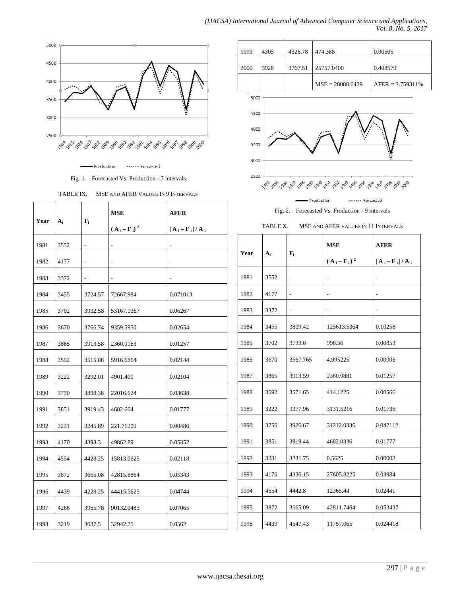

- Production ...... Forcasted

Fig. 1. Forecasted Vs. Production - 7 intervals

TABLE IX. MSE AND AFER VALUES IN 9 INTERVALS

|      | ${\bf F_i}$<br>$A_i$ |         | MSE             | <b>AFER</b>                                      |
|------|----------------------|---------|-----------------|--------------------------------------------------|
| Year |                      |         | $(A_i - F_i)^2$ | $ \mathbf{A}_i - \mathbf{F}_i  /  \mathbf{A}_i $ |
| 1981 | 3552                 |         |                 |                                                  |
| 1982 | 4177                 |         |                 |                                                  |
| 1983 | 3372                 |         |                 |                                                  |
| 1984 | 3455                 | 3724.57 | 72667.984       | 0.071013                                         |
| 1985 | 3702                 | 3932.58 | 53167.1367      | 0.06267                                          |
| 1986 | 3670                 | 3766.74 | 9359.5950       | 0.02654                                          |
| 1987 | 3865                 | 3913.58 | 2360.0163       | 0.01257                                          |
| 1988 | 3592                 | 3515.08 | 5916.6864       | 0.02144                                          |
| 1989 | 3222                 | 3292.01 | 4901.400        | 0.02104                                          |
| 1990 | 3750                 | 3898.38 | 22016.624       | 0.03638                                          |
| 1991 | 3851                 | 3919.43 | 4682.664        | 0.01777                                          |
| 1992 | 3231                 | 3245.89 | 221.71209       | 0.00486                                          |
| 1993 | 4170                 | 4393.3  | 49862.89        | 0.05352                                          |
| 1994 | 4554                 | 4428.25 | 15813.0625      | 0.02118                                          |
| 1995 | 3872                 | 3665.08 | 42815.8864      | 0.05343                                          |
| 1996 | 4439                 | 4228.25 | 44415.5625      | 0.04744                                          |
| 1997 | 4266                 | 3965.78 | 90132.0483      | 0.07065                                          |
| 1998 | 3219                 | 3037.5  | 32942.25        | 0.0562                                           |

| 1999 | 4305 | 4326.78 | 474.368            | 0.00505             |
|------|------|---------|--------------------|---------------------|
| 2000 | 3928 | 3767.51 | 25757.0400         | 0.408579            |
|      |      |         | $MSE = 28088.6429$ | $AFER = 3.759311\%$ |
| 5000 |      |         |                    |                     |



Fig. 2. Forecasted Vs. Production - 9 intervals



| Year | $A_i$ | $\mathbf{F}_{i}$ | <b>MSE</b>      | <b>AFER</b>                                    |
|------|-------|------------------|-----------------|------------------------------------------------|
|      |       |                  | $(A_i - F_i)^2$ | $ \mathbf{A}_i - \mathbf{F}_i  / \mathbf{A}_i$ |
| 1981 | 3552  |                  |                 |                                                |
| 1982 | 4177  |                  | ÷,              | $\overline{\phantom{a}}$                       |
| 1983 | 3372  |                  |                 |                                                |
| 1984 | 3455  | 3809.42          | 125613.5364     | 0.10258                                        |
| 1985 | 3702  | 3733.6           | 998.56          | 0.00853                                        |
| 1986 | 3670  | 3667.765         | 4.995225        | 0.00006                                        |
| 1987 | 3865  | 3913.59          | 2360.9881       | 0.01257                                        |
| 1988 | 3592  | 3571.65          | 414.1225        | 0.00566                                        |
| 1989 | 3222  | 3277.96          | 3131.5216       | 0.01736                                        |
| 1990 | 3750  | 3926.67          | 31212.0336      | 0.047112                                       |
| 1991 | 3851  | 3919.44          | 4682.0336       | 0.01777                                        |
| 1992 | 3231  | 3231.75          | 0.5625          | 0.00002                                        |
| 1993 | 4170  | 4336.15          | 27605.8225      | 0.03984                                        |
| 1994 | 4554  | 4442.8           | 12365.44        | 0.02441                                        |
| 1995 | 3872  | 3665.09          | 42811.7464      | 0.053437                                       |
| 1996 | 4439  | 4547.43          | 11757.065       | 0.024418                                       |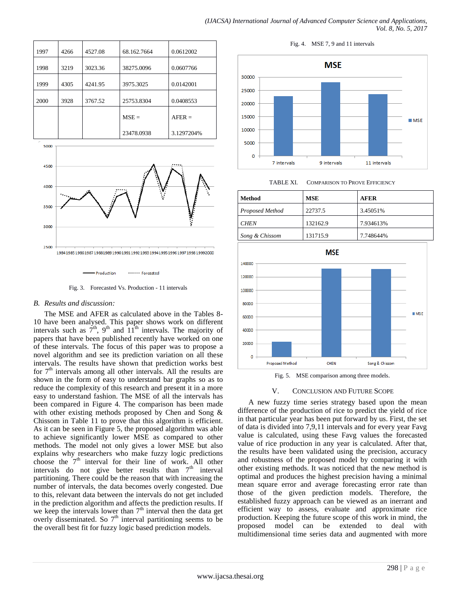| 1997 | 4266 | 4527.08 | 68.162.7664 | 0.0612002  |
|------|------|---------|-------------|------------|
| 1998 | 3219 | 3023.36 | 38275.0096  | 0.0607766  |
| 1999 | 4305 | 4241.95 | 3975.3025   | 0.0142001  |
| 2000 | 3928 | 3767.52 | 25753.8304  | 0.0408553  |
|      |      |         | $MSE =$     | $AFER =$   |
|      |      |         | 23478.0938  | 3.1297204% |



...... Forcasted Production

Fig. 3. Forecasted Vs. Production - 11 intervals

#### *B. Results and discussion:*

5000

The MSE and AFER as calculated above in the Tables 8- 10 have been analysed. This paper shows work on different intervals such as  $\tilde{7}^{\text{th}}$ , 9<sup>th</sup> and  $11^{\text{th}}$  intervals. The majority of papers that have been published recently have worked on one of these intervals. The focus of this paper was to propose a novel algorithm and see its prediction variation on all these intervals. The results have shown that prediction works best for  $7<sup>th</sup>$  intervals among all other intervals. All the results are shown in the form of easy to understand bar graphs so as to reduce the complexity of this research and present it in a more easy to understand fashion. The MSE of all the intervals has been compared in Figure 4. The comparison has been made with other existing methods proposed by Chen and Song & Chissom in Table 11 to prove that this algorithm is efficient. As it can be seen in Figure 5, the proposed algorithm was able to achieve significantly lower MSE as compared to other methods. The model not only gives a lower MSE but also explains why researchers who make fuzzy logic predictions choose the  $7<sup>th</sup>$  interval for their line of work. All other intervals do not give better results than  $7<sup>th</sup>$  interval partitioning. There could be the reason that with increasing the number of intervals, the data becomes overly congested. Due to this, relevant data between the intervals do not get included in the prediction algorithm and affects the prediction results. If we keep the intervals lower than  $7<sup>th</sup>$  interval then the data get overly disseminated. So  $7<sup>th</sup>$  interval partitioning seems to be the overall best fit for fuzzy logic based prediction models.

Fig. 4. MSE 7, 9 and 11 intervals



TABLE XI. COMPARISON TO PROVE EFFICIENCY

| Method          | MSE      | <b>AFER</b> |
|-----------------|----------|-------------|
| Proposed Method | 22737.5  | 3.45051%    |
| <b>CHEN</b>     | 132162.9 | 7.934613%   |
| Song & Chissom  | 131715.9 | 7.748644%   |



Fig. 5. MSE comparison among three models.

### V. CONCLUSION AND FUTURE SCOPE

A new fuzzy time series strategy based upon the mean difference of the production of rice to predict the yield of rice in that particular year has been put forward by us. First, the set of data is divided into 7,9,11 intervals and for every year Favg value is calculated, using these Favg values the forecasted value of rice production in any year is calculated. After that, the results have been validated using the precision, accuracy and robustness of the proposed model by comparing it with other existing methods. It was noticed that the new method is optimal and produces the highest precision having a minimal mean square error and average forecasting error rate than those of the given prediction models. Therefore, the established fuzzy approach can be viewed as an inerrant and efficient way to assess, evaluate and approximate rice production. Keeping the future scope of this work in mind, the proposed model can be extended to deal with multidimensional time series data and augmented with more